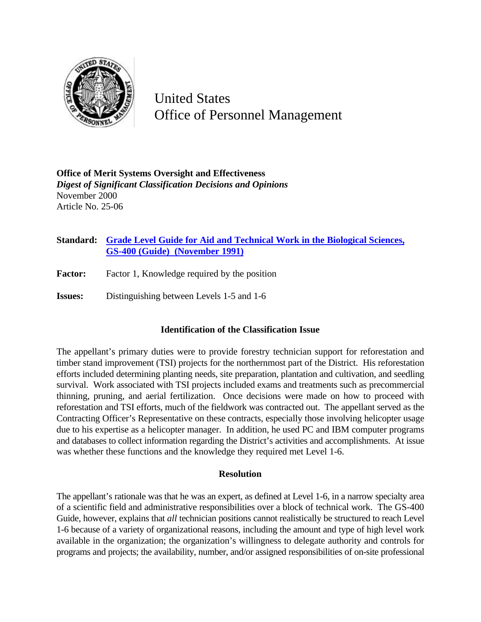

United States Office of Personnel Management

**Office of Merit Systems Oversight and Effectiveness** *Digest of Significant Classification Decisions and Opinions* November 2000 Article No. 25-06

## **Standard: Grade Level Guide for Aid and Technical Work in the Biological Sciences, GS-400 (Guide) (November 1991)**

- **Factor:** Factor 1, Knowledge required by the position
- **Issues:** Distinguishing between Levels 1-5 and 1-6

## **Identification of the Classification Issue**

The appellant's primary duties were to provide forestry technician support for reforestation and timber stand improvement (TSI) projects for the northernmost part of the District. His reforestation efforts included determining planting needs, site preparation, plantation and cultivation, and seedling survival. Work associated with TSI projects included exams and treatments such as precommercial thinning, pruning, and aerial fertilization. Once decisions were made on how to proceed with reforestation and TSI efforts, much of the fieldwork was contracted out. The appellant served as the Contracting Officer's Representative on these contracts, especially those involving helicopter usage due to his expertise as a helicopter manager. In addition, he used PC and IBM computer programs and databases to collect information regarding the District's activities and accomplishments. At issue was whether these functions and the knowledge they required met Level 1-6.

## **Resolution**

The appellant's rationale was that he was an expert, as defined at Level 1-6, in a narrow specialty area of a scientific field and administrative responsibilities over a block of technical work. The GS-400 Guide, however, explains that *all* technician positions cannot realistically be structured to reach Level 1-6 because of a variety of organizational reasons, including the amount and type of high level work available in the organization; the organization's willingness to delegate authority and controls for programs and projects; the availability, number, and/or assigned responsibilities of on-site professional